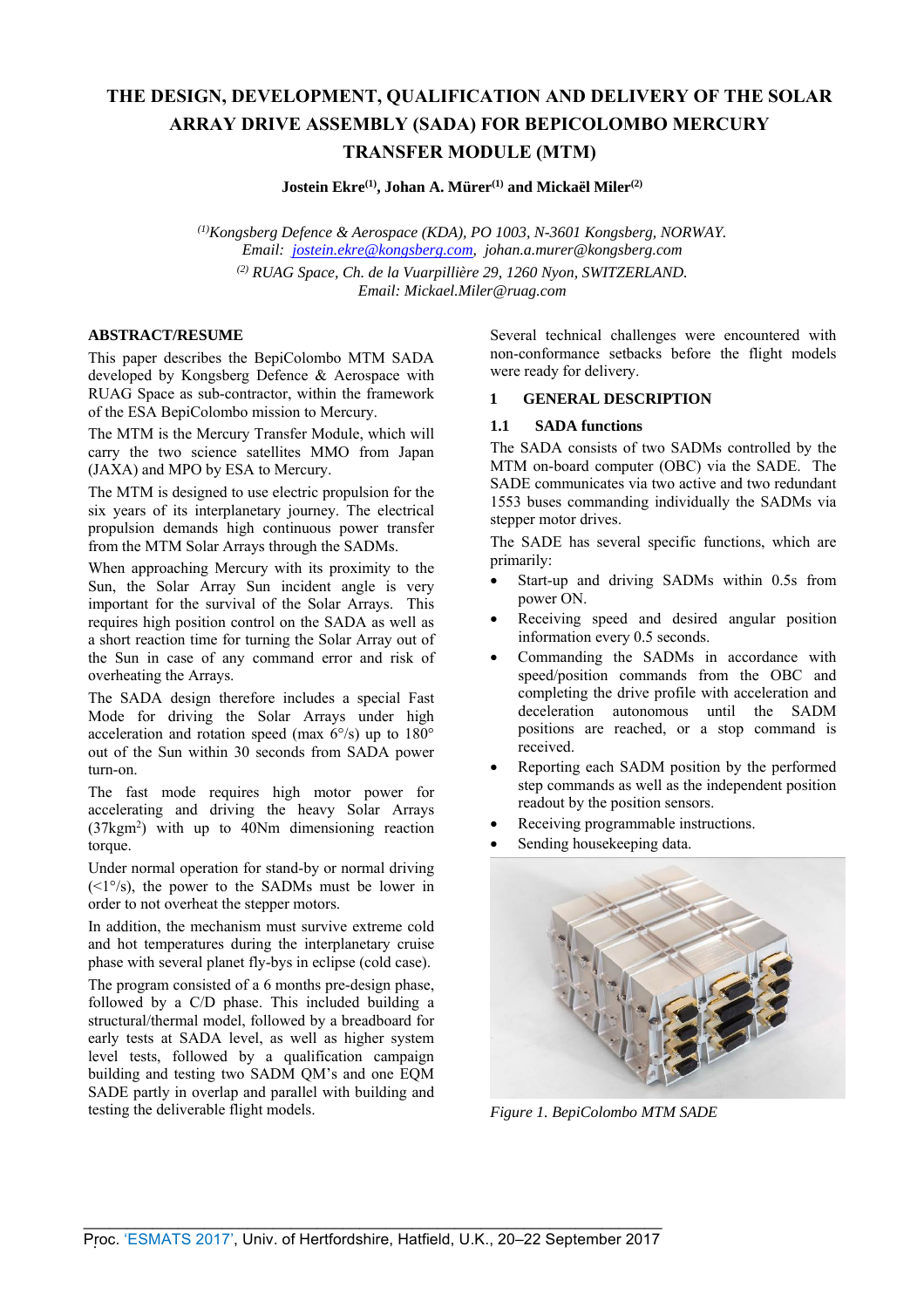# **THE DESIGN, DEVELOPMENT, QUALIFICATION AND DELIVERY OF THE SOLAR ARRAY DRIVE ASSEMBLY (SADA) FOR BEPICOLOMBO MERCURY TRANSFER MODULE (MTM)**

**Jostein Ekre(1), Johan A. Mürer(1) and Mickaël Miler(2)**

*(1)Kongsberg Defence & Aerospace (KDA), PO 1003, N-3601 Kongsberg, NORWAY. Email: jostein.ekre@kongsberg.com, johan.a.murer@kongsberg.com (2) RUAG Space, Ch. de la Vuarpillière 29, 1260 Nyon, SWITZERLAND. Email: Mickael.Miler@ruag.com* 

#### **ABSTRACT/RESUME**

This paper describes the BepiColombo MTM SADA developed by Kongsberg Defence & Aerospace with RUAG Space as sub-contractor, within the framework of the ESA BepiColombo mission to Mercury.

The MTM is the Mercury Transfer Module, which will carry the two science satellites MMO from Japan (JAXA) and MPO by ESA to Mercury.

The MTM is designed to use electric propulsion for the six years of its interplanetary journey. The electrical propulsion demands high continuous power transfer from the MTM Solar Arrays through the SADMs.

When approaching Mercury with its proximity to the Sun, the Solar Array Sun incident angle is very important for the survival of the Solar Arrays. This requires high position control on the SADA as well as a short reaction time for turning the Solar Array out of the Sun in case of any command error and risk of overheating the Arrays.

The SADA design therefore includes a special Fast Mode for driving the Solar Arrays under high acceleration and rotation speed (max 6°/s) up to 180° out of the Sun within 30 seconds from SADA power turn-on.

The fast mode requires high motor power for accelerating and driving the heavy Solar Arrays (37kgm2 ) with up to 40Nm dimensioning reaction torque.

Under normal operation for stand-by or normal driving  $(<1°/s$ ), the power to the SADMs must be lower inorder to not overheat the stepper motors.

In addition, the mechanism must survive extreme cold and hot temperatures during the interplanetary cruise phase with several planet fly-bys in eclipse (cold case).

The program consisted of a 6 months pre-design phase, followed by a C/D phase. This included building a structural/thermal model, followed by a breadboard for early tests at SADA level, as well as higher system level tests, followed by a qualification campaign building and testing two SADM QM's and one EQM SADE partly in overlap and parallel with building and testing the deliverable flight models.

Several technical challenges were encountered with non-conformance setbacks before the flight models were ready for delivery.

#### **1 GENERAL DESCRIPTION**

#### **1.1 SADA functions**

The SADA consists of two SADMs controlled by the MTM on-board computer (OBC) via the SADE. The SADE communicates via two active and two redundant 1553 buses commanding individually the SADMs via stepper motor drives.

The SADE has several specific functions, which are primarily:

- Start-up and driving SADMs within 0.5s from power ON.
- Receiving speed and desired angular position information every 0.5 seconds.
- Commanding the SADMs in accordance with speed/position commands from the OBC and completing the drive profile with acceleration and deceleration autonomous until the SADM positions are reached, or a stop command is received.
- Reporting each SADM position by the performed step commands as well as the independent position readout by the position sensors.
- Receiving programmable instructions.
- Sending housekeeping data.



*Figure 1. BepiColombo MTM SADE*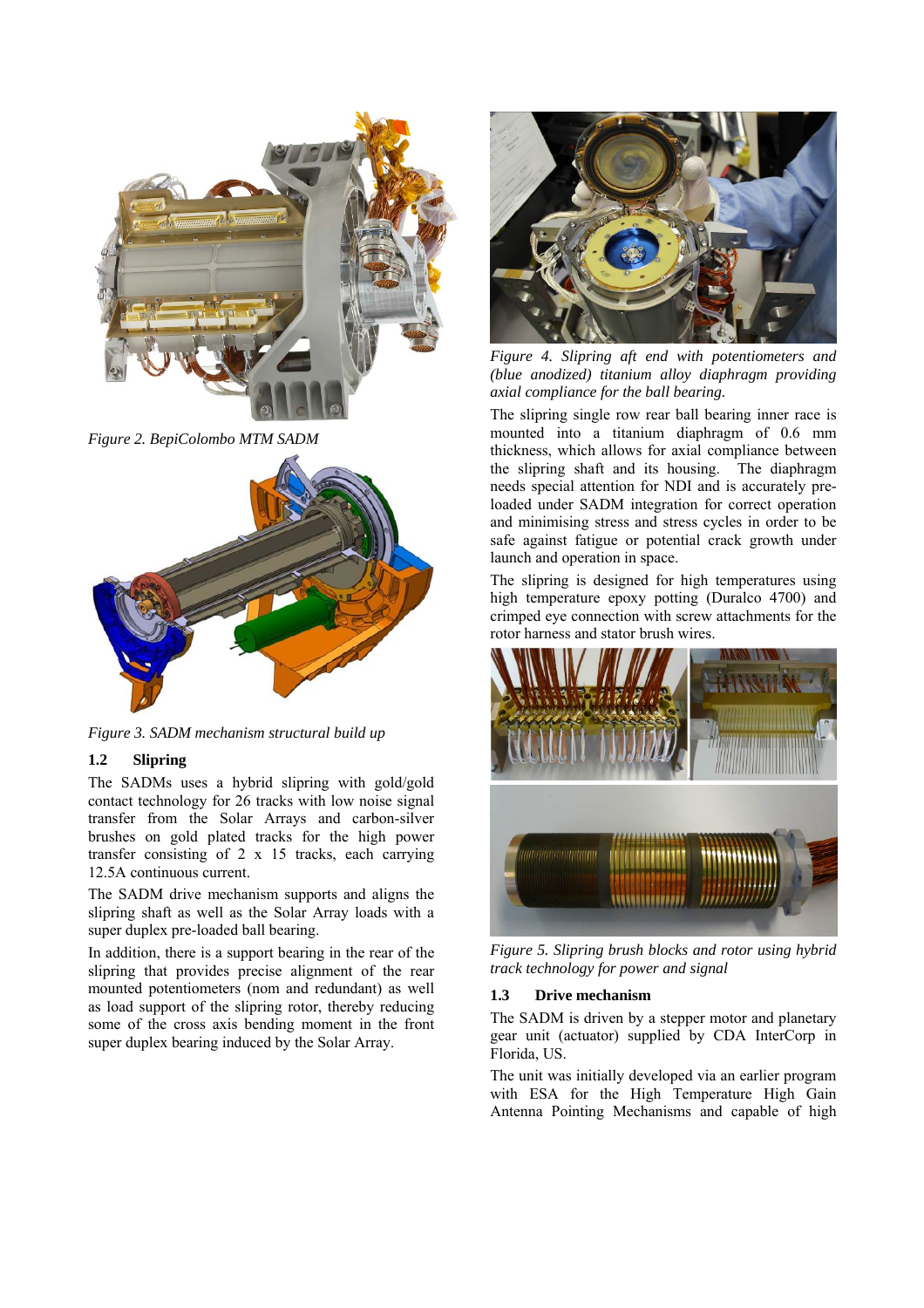

*Figure 2. BepiColombo MTM SADM* 



*Figure 3. SADM mechanism structural build up* 

# **1.2 Slipring**

The SADMs uses a hybrid slipring with gold/gold contact technology for 26 tracks with low noise signal transfer from the Solar Arrays and carbon-silver brushes on gold plated tracks for the high power transfer consisting of 2 x 15 tracks, each carrying 12.5A continuous current.

The SADM drive mechanism supports and aligns the slipring shaft as well as the Solar Array loads with a super duplex pre-loaded ball bearing.

In addition, there is a support bearing in the rear of the slipring that provides precise alignment of the rear mounted potentiometers (nom and redundant) as well as load support of the slipring rotor, thereby reducing some of the cross axis bending moment in the front super duplex bearing induced by the Solar Array.



*Figure 4. Slipring aft end with potentiometers and (blue anodized) titanium alloy diaphragm providing axial compliance for the ball bearing.* 

The slipring single row rear ball bearing inner race is mounted into a titanium diaphragm of 0.6 mm thickness, which allows for axial compliance between the slipring shaft and its housing. The diaphragm needs special attention for NDI and is accurately preloaded under SADM integration for correct operation and minimising stress and stress cycles in order to be safe against fatigue or potential crack growth under launch and operation in space.

The slipring is designed for high temperatures using high temperature epoxy potting (Duralco 4700) and crimped eye connection with screw attachments for the rotor harness and stator brush wires.



*Figure 5. Slipring brush blocks and rotor using hybrid track technology for power and signal* 

# **1.3 Drive mechanism**

The SADM is driven by a stepper motor and planetary gear unit (actuator) supplied by CDA InterCorp in Florida, US.

The unit was initially developed via an earlier program with ESA for the High Temperature High Gain Antenna Pointing Mechanisms and capable of high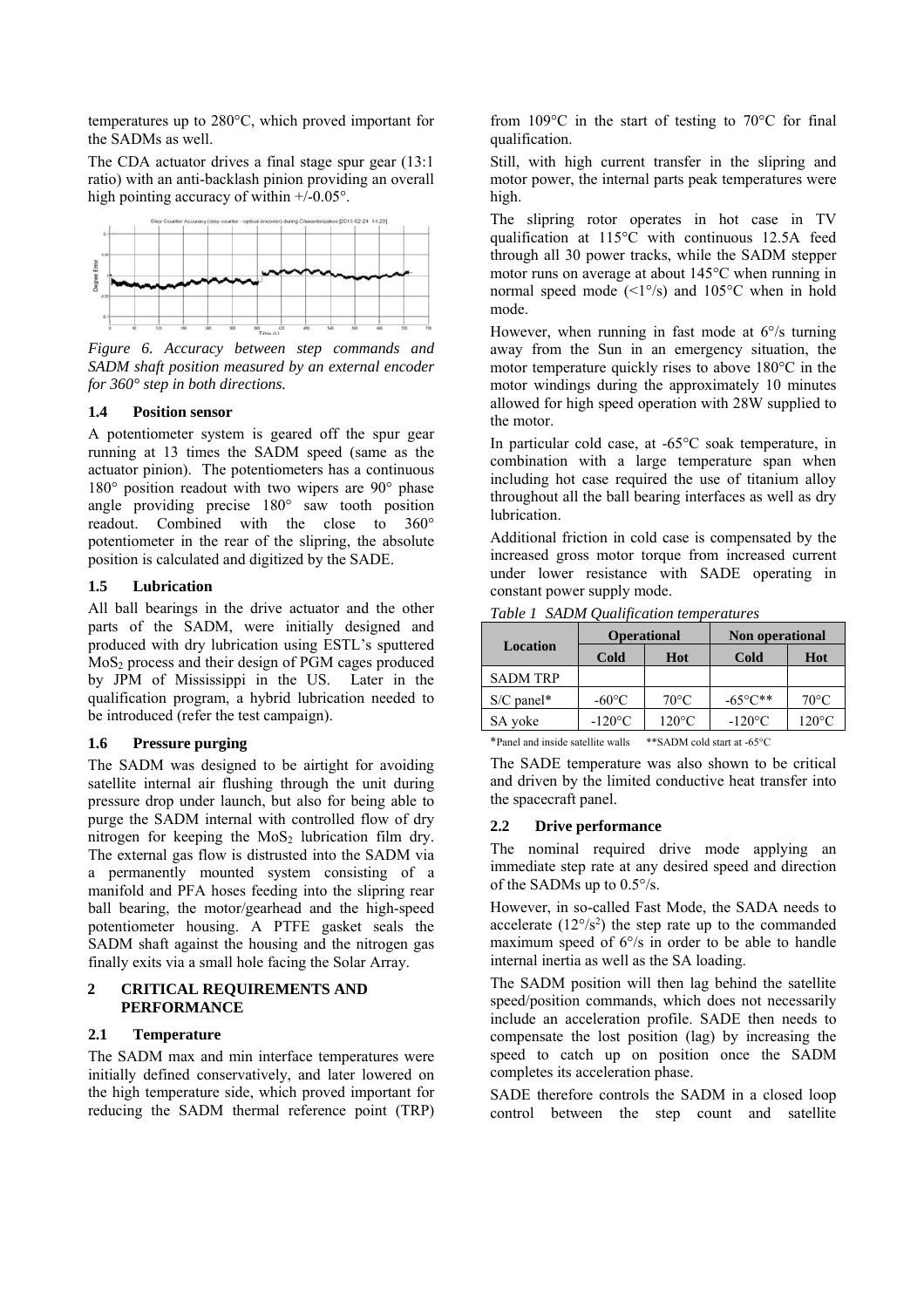temperatures up to 280°C, which proved important for the SADMs as well.

The CDA actuator drives a final stage spur gear (13:1 ratio) with an anti-backlash pinion providing an overall high pointing accuracy of within  $+/-0.05^{\circ}$ .



*Figure 6. Accuracy between step commands and SADM shaft position measured by an external encoder for 360° step in both directions.* 

#### **1.4 Position sensor**

A potentiometer system is geared off the spur gear running at 13 times the SADM speed (same as the actuator pinion). The potentiometers has a continuous 180° position readout with two wipers are 90° phase angle providing precise 180° saw tooth position readout. Combined with the close to 360° potentiometer in the rear of the slipring, the absolute position is calculated and digitized by the SADE.

## **1.5 Lubrication**

All ball bearings in the drive actuator and the other parts of the SADM, were initially designed and produced with dry lubrication using ESTL's sputtered  $MoS<sub>2</sub>$  process and their design of PGM cages produced by JPM of Mississippi in the US. Later in the qualification program, a hybrid lubrication needed to be introduced (refer the test campaign).

## **1.6 Pressure purging**

The SADM was designed to be airtight for avoiding satellite internal air flushing through the unit during pressure drop under launch, but also for being able to purge the SADM internal with controlled flow of dry nitrogen for keeping the  $MoS<sub>2</sub>$  lubrication film dry. The external gas flow is distrusted into the SADM via a permanently mounted system consisting of a manifold and PFA hoses feeding into the slipring rear ball bearing, the motor/gearhead and the high-speed potentiometer housing. A PTFE gasket seals the SADM shaft against the housing and the nitrogen gas finally exits via a small hole facing the Solar Array.

#### **2 CRITICAL REQUIREMENTS AND PERFORMANCE**

#### **2.1 Temperature**

The SADM max and min interface temperatures were initially defined conservatively, and later lowered on the high temperature side, which proved important for reducing the SADM thermal reference point (TRP) from  $109^{\circ}$ C in the start of testing to  $70^{\circ}$ C for final qualification.

Still, with high current transfer in the slipring and motor power, the internal parts peak temperatures were high.

The slipring rotor operates in hot case in TV qualification at 115°C with continuous 12.5A feed through all 30 power tracks, while the SADM stepper motor runs on average at about 145°C when running in normal speed mode  $(\leq 1^{\circ}/s)$  and  $105^{\circ}$ C when in hold mode.

However, when running in fast mode at 6°/s turning away from the Sun in an emergency situation, the motor temperature quickly rises to above 180°C in the motor windings during the approximately 10 minutes allowed for high speed operation with 28W supplied to the motor.

In particular cold case, at -65°C soak temperature, in combination with a large temperature span when including hot case required the use of titanium alloy throughout all the ball bearing interfaces as well as dry lubrication.

Additional friction in cold case is compensated by the increased gross motor torque from increased current under lower resistance with SADE operating in constant power supply mode.

| Location        | <b>Operational</b> |                 | Non operational     |                 |
|-----------------|--------------------|-----------------|---------------------|-----------------|
|                 | Cold               | Hot             | Cold                | Hot             |
| <b>SADM TRP</b> |                    |                 |                     |                 |
| $S/C$ panel*    | $-60^{\circ}$ C    | $70^{\circ}$ C  | $-65^{\circ}C^{**}$ | $70^{\circ}$ C  |
| SA voke         | $-120^{\circ}$ C   | $120^{\circ}$ C | $-120^{\circ}$ C    | $120^{\circ}$ C |

*Table 1 SADM Qualification temperatures* 

\*Panel and inside satellite walls \*\*SADM cold start at -65°C

The SADE temperature was also shown to be critical and driven by the limited conductive heat transfer into the spacecraft panel.

## **2.2 Drive performance**

The nominal required drive mode applying an immediate step rate at any desired speed and direction of the SADMs up to 0.5°/s.

However, in so-called Fast Mode, the SADA needs to accelerate  $(12^{\circ}/s^2)$  the step rate up to the commanded maximum speed of 6°/s in order to be able to handle internal inertia as well as the SA loading.

The SADM position will then lag behind the satellite speed/position commands, which does not necessarily include an acceleration profile. SADE then needs to compensate the lost position (lag) by increasing the speed to catch up on position once the SADM completes its acceleration phase.

SADE therefore controls the SADM in a closed loop control between the step count and satellite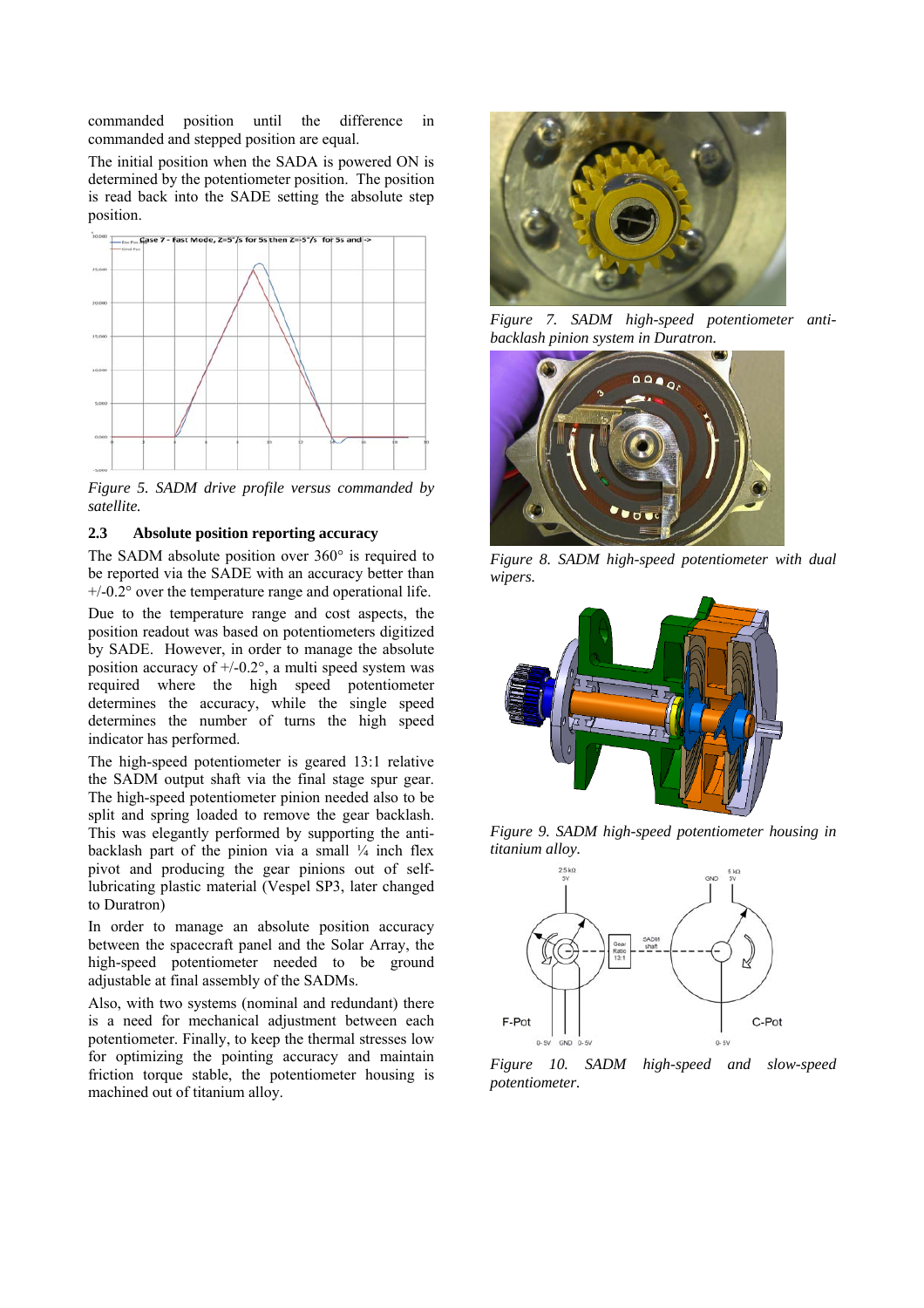commanded position until the difference in commanded and stepped position are equal.

The initial position when the SADA is powered ON is determined by the potentiometer position. The position is read back into the SADE setting the absolute step position.



*Figure 5. SADM drive profile versus commanded by satellite.* 

#### **2.3 Absolute position reporting accuracy**

The SADM absolute position over 360° is required to be reported via the SADE with an accuracy better than  $+/-0.2^{\circ}$  over the temperature range and operational life.

Due to the temperature range and cost aspects, the position readout was based on potentiometers digitized by SADE. However, in order to manage the absolute position accuracy of  $+/-0.2^{\circ}$ , a multi speed system was required where the high speed potentiometer determines the accuracy, while the single speed determines the number of turns the high speed indicator has performed.

The high-speed potentiometer is geared 13:1 relative the SADM output shaft via the final stage spur gear. The high-speed potentiometer pinion needed also to be split and spring loaded to remove the gear backlash. This was elegantly performed by supporting the antibacklash part of the pinion via a small  $\frac{1}{4}$  inch flex pivot and producing the gear pinions out of selflubricating plastic material (Vespel SP3, later changed to Duratron)

In order to manage an absolute position accuracy between the spacecraft panel and the Solar Array, the high-speed potentiometer needed to be ground adjustable at final assembly of the SADMs.

Also, with two systems (nominal and redundant) there is a need for mechanical adjustment between each potentiometer. Finally, to keep the thermal stresses low for optimizing the pointing accuracy and maintain friction torque stable, the potentiometer housing is machined out of titanium alloy.



*Figure 7. SADM high-speed potentiometer antibacklash pinion system in Duratron.* 



*Figure 8. SADM high-speed potentiometer with dual wipers.* 



*Figure 9. SADM high-speed potentiometer housing in titanium alloy.* 



*Figure 10. SADM high-speed and slow-speed potentiometer.*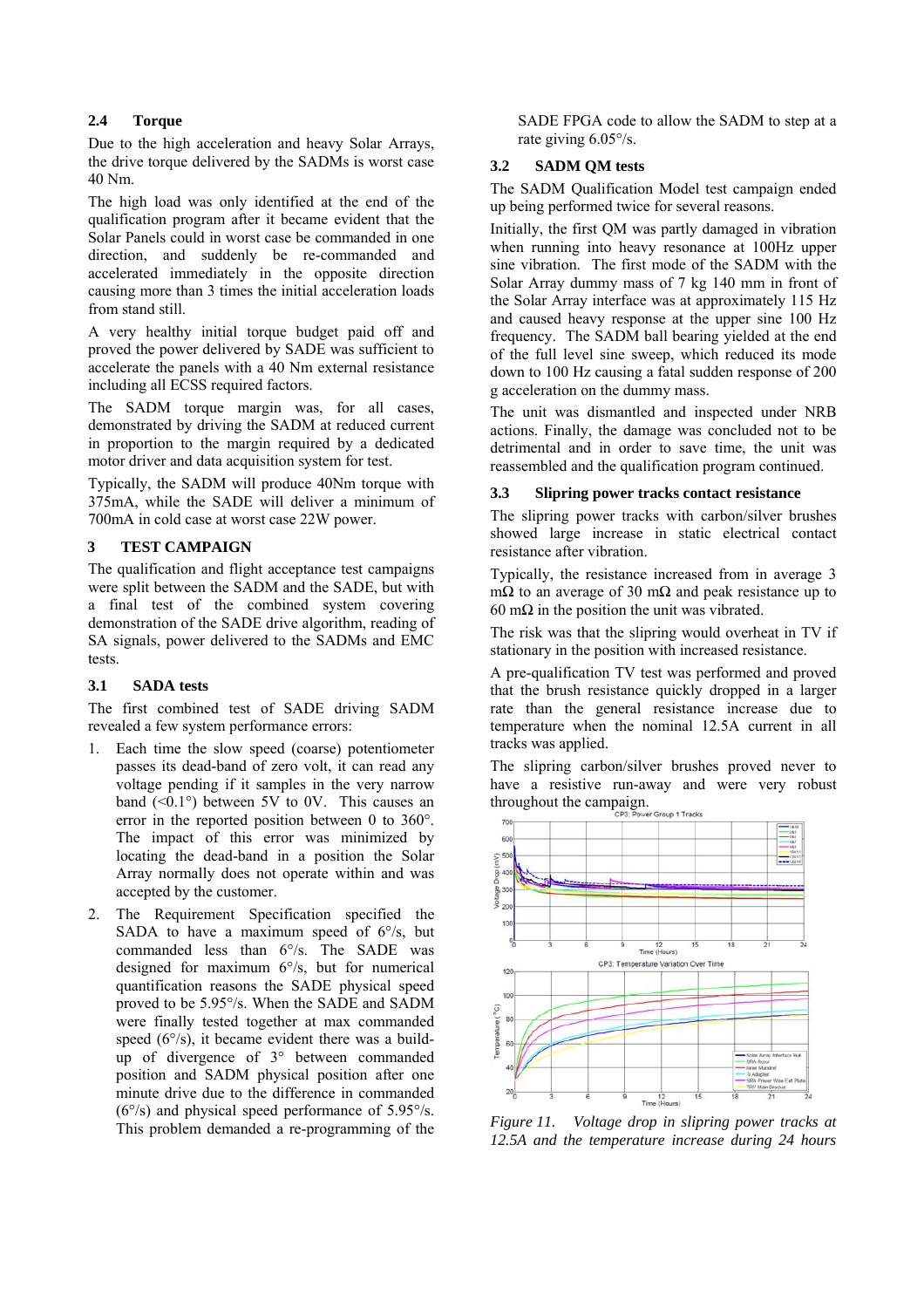## **2.4 Torque**

Due to the high acceleration and heavy Solar Arrays, the drive torque delivered by the SADMs is worst case 40 Nm.

The high load was only identified at the end of the qualification program after it became evident that the Solar Panels could in worst case be commanded in one direction, and suddenly be re-commanded and accelerated immediately in the opposite direction causing more than 3 times the initial acceleration loads from stand still.

A very healthy initial torque budget paid off and proved the power delivered by SADE was sufficient to accelerate the panels with a 40 Nm external resistance including all ECSS required factors.

The SADM torque margin was, for all cases, demonstrated by driving the SADM at reduced current in proportion to the margin required by a dedicated motor driver and data acquisition system for test.

Typically, the SADM will produce 40Nm torque with 375mA, while the SADE will deliver a minimum of 700mA in cold case at worst case 22W power.

## **3 TEST CAMPAIGN**

The qualification and flight acceptance test campaigns were split between the SADM and the SADE, but with a final test of the combined system covering demonstration of the SADE drive algorithm, reading of SA signals, power delivered to the SADMs and EMC tests.

## **3.1 SADA tests**

The first combined test of SADE driving SADM revealed a few system performance errors:

- 1. Each time the slow speed (coarse) potentiometer passes its dead-band of zero volt, it can read any voltage pending if it samples in the very narrow band  $(<0.1°$ ) between 5V to 0V. This causes an error in the reported position between 0 to 360°. The impact of this error was minimized by locating the dead-band in a position the Solar Array normally does not operate within and was accepted by the customer.
- 2. The Requirement Specification specified the SADA to have a maximum speed of  $6\%$ , but commanded less than 6°/s. The SADE was designed for maximum 6°/s, but for numerical quantification reasons the SADE physical speed proved to be 5.95°/s. When the SADE and SADM were finally tested together at max commanded speed  $(6^{\circ}/s)$ , it became evident there was a buildup of divergence of 3° between commanded position and SADM physical position after one minute drive due to the difference in commanded (6°/s) and physical speed performance of 5.95°/s. This problem demanded a re-programming of the

SADE FPGA code to allow the SADM to step at a rate giving 6.05°/s.

## **3.2 SADM QM tests**

The SADM Qualification Model test campaign ended up being performed twice for several reasons.

Initially, the first QM was partly damaged in vibration when running into heavy resonance at 100Hz upper sine vibration. The first mode of the SADM with the Solar Array dummy mass of 7 kg 140 mm in front of the Solar Array interface was at approximately 115 Hz and caused heavy response at the upper sine 100 Hz frequency. The SADM ball bearing yielded at the end of the full level sine sweep, which reduced its mode down to 100 Hz causing a fatal sudden response of 200 g acceleration on the dummy mass.

The unit was dismantled and inspected under NRB actions. Finally, the damage was concluded not to be detrimental and in order to save time, the unit was reassembled and the qualification program continued.

## **3.3 Slipring power tracks contact resistance**

The slipring power tracks with carbon/silver brushes showed large increase in static electrical contact resistance after vibration.

Typically, the resistance increased from in average 3 mΩ to an average of 30 mΩ and peak resistance up to  $60$  mΩ in the position the unit was vibrated.

The risk was that the slipring would overheat in TV if stationary in the position with increased resistance.

A pre-qualification TV test was performed and proved that the brush resistance quickly dropped in a larger rate than the general resistance increase due to temperature when the nominal 12.5A current in all tracks was applied.

The slipring carbon/silver brushes proved never to have a resistive run-away and were very robust throughout the campaign.



*Figure 11. Voltage drop in slipring power tracks at 12.5A and the temperature increase during 24 hours*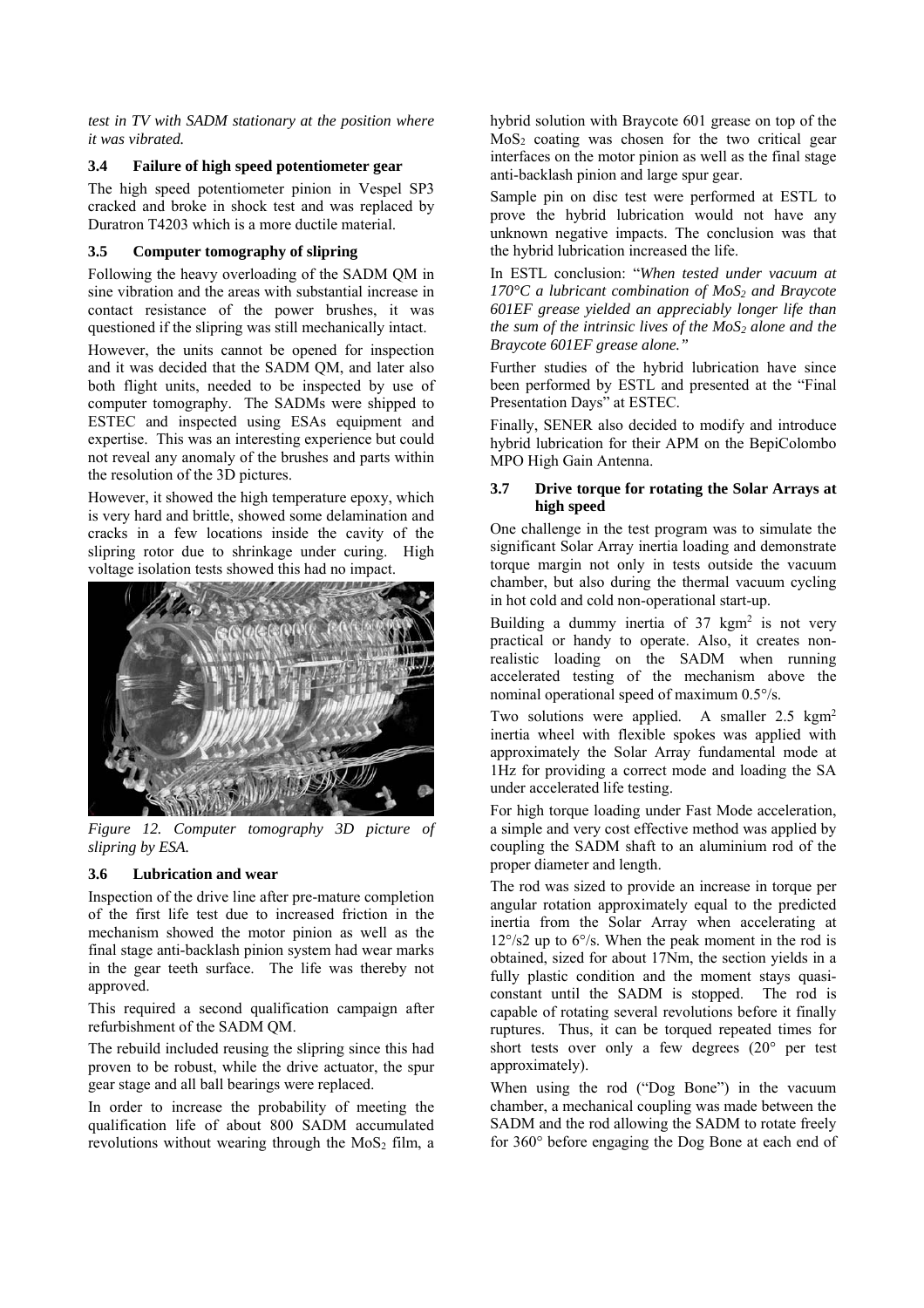*test in TV with SADM stationary at the position where it was vibrated.* 

## **3.4 Failure of high speed potentiometer gear**

The high speed potentiometer pinion in Vespel SP3 cracked and broke in shock test and was replaced by Duratron T4203 which is a more ductile material.

# **3.5 Computer tomography of slipring**

Following the heavy overloading of the SADM QM in sine vibration and the areas with substantial increase in contact resistance of the power brushes, it was questioned if the slipring was still mechanically intact.

However, the units cannot be opened for inspection and it was decided that the SADM QM, and later also both flight units, needed to be inspected by use of computer tomography. The SADMs were shipped to ESTEC and inspected using ESAs equipment and expertise. This was an interesting experience but could not reveal any anomaly of the brushes and parts within the resolution of the 3D pictures.

However, it showed the high temperature epoxy, which is very hard and brittle, showed some delamination and cracks in a few locations inside the cavity of the slipring rotor due to shrinkage under curing. High voltage isolation tests showed this had no impact.



*Figure 12. Computer tomography 3D picture of slipring by ESA.* 

# **3.6 Lubrication and wear**

Inspection of the drive line after pre-mature completion of the first life test due to increased friction in the mechanism showed the motor pinion as well as the final stage anti-backlash pinion system had wear marks in the gear teeth surface. The life was thereby not approved.

This required a second qualification campaign after refurbishment of the SADM QM.

The rebuild included reusing the slipring since this had proven to be robust, while the drive actuator, the spur gear stage and all ball bearings were replaced.

In order to increase the probability of meeting the qualification life of about 800 SADM accumulated revolutions without wearing through the  $M_0S_2$  film, a hybrid solution with Braycote 601 grease on top of the  $MoS<sub>2</sub>$  coating was chosen for the two critical gear interfaces on the motor pinion as well as the final stage anti-backlash pinion and large spur gear.

Sample pin on disc test were performed at ESTL to prove the hybrid lubrication would not have any unknown negative impacts. The conclusion was that the hybrid lubrication increased the life.

In ESTL conclusion: "*When tested under vacuum at*  170°C a lubricant combination of MoS<sub>2</sub> and Braycote *601EF grease yielded an appreciably longer life than the sum of the intrinsic lives of the*  $MoS<sub>2</sub>$  *alone and the Braycote 601EF grease alone."*

Further studies of the hybrid lubrication have since been performed by ESTL and presented at the "Final Presentation Days" at ESTEC.

Finally, SENER also decided to modify and introduce hybrid lubrication for their APM on the BepiColombo MPO High Gain Antenna.

## **3.7 Drive torque for rotating the Solar Arrays at high speed**

One challenge in the test program was to simulate the significant Solar Array inertia loading and demonstrate torque margin not only in tests outside the vacuum chamber, but also during the thermal vacuum cycling in hot cold and cold non-operational start-up.

Building a dummy inertia of  $37 \text{ kgm}^2$  is not very practical or handy to operate. Also, it creates nonrealistic loading on the SADM when running accelerated testing of the mechanism above the nominal operational speed of maximum 0.5°/s.

Two solutions were applied. A smaller 2.5 kgm<sup>2</sup> inertia wheel with flexible spokes was applied with approximately the Solar Array fundamental mode at 1Hz for providing a correct mode and loading the SA under accelerated life testing.

For high torque loading under Fast Mode acceleration, a simple and very cost effective method was applied by coupling the SADM shaft to an aluminium rod of the proper diameter and length.

The rod was sized to provide an increase in torque per angular rotation approximately equal to the predicted inertia from the Solar Array when accelerating at 12°/s2 up to 6°/s. When the peak moment in the rod is obtained, sized for about 17Nm, the section yields in a fully plastic condition and the moment stays quasiconstant until the SADM is stopped. The rod is capable of rotating several revolutions before it finally ruptures. Thus, it can be torqued repeated times for short tests over only a few degrees (20° per test approximately).

When using the rod ("Dog Bone") in the vacuum chamber, a mechanical coupling was made between the SADM and the rod allowing the SADM to rotate freely for 360° before engaging the Dog Bone at each end of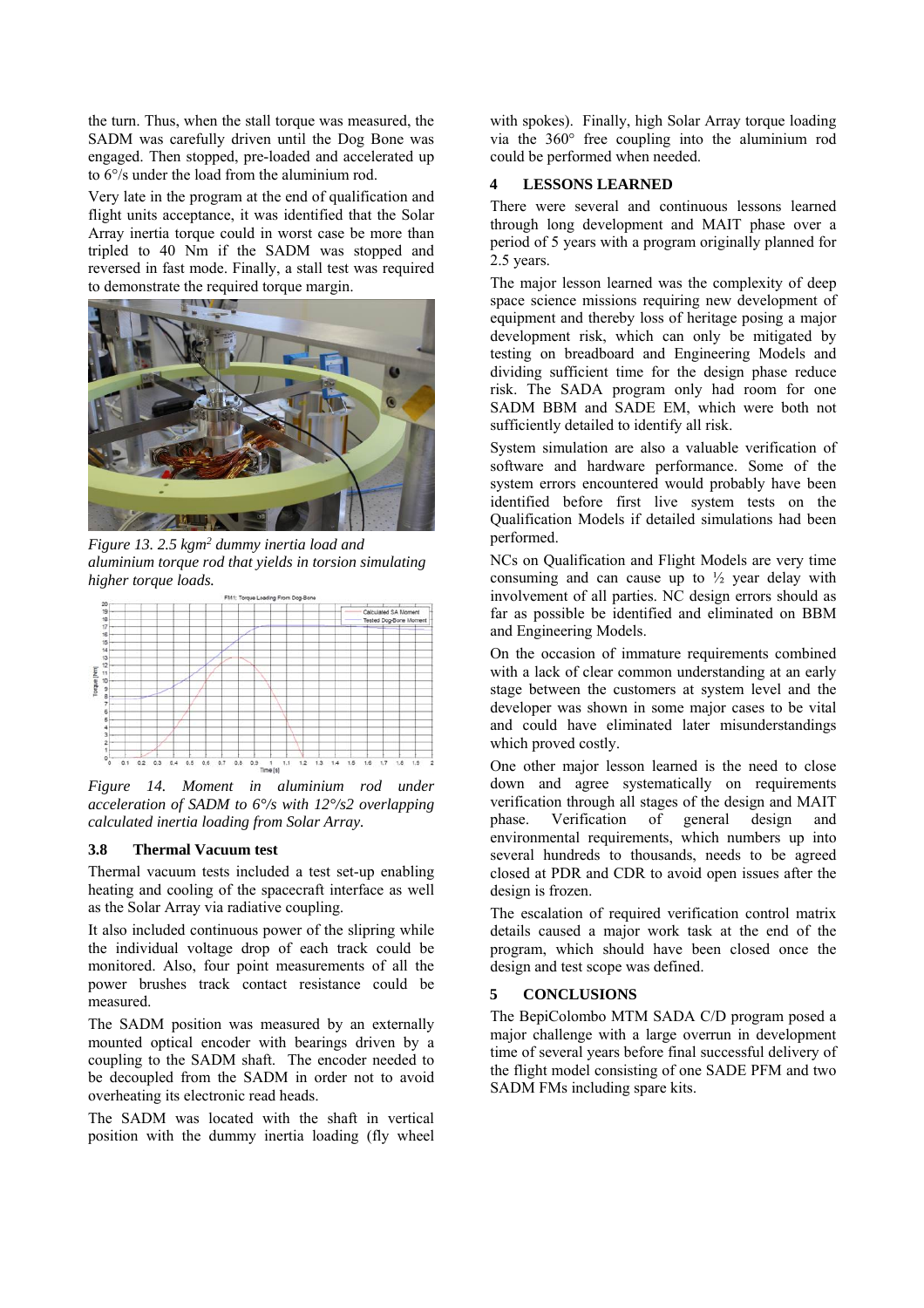the turn. Thus, when the stall torque was measured, the SADM was carefully driven until the Dog Bone was engaged. Then stopped, pre-loaded and accelerated up to 6°/s under the load from the aluminium rod.

Very late in the program at the end of qualification and flight units acceptance, it was identified that the Solar Array inertia torque could in worst case be more than tripled to 40 Nm if the SADM was stopped and reversed in fast mode. Finally, a stall test was required to demonstrate the required torque margin.



*Figure 13. 2.5 kgm2 dummy inertia load and aluminium torque rod that yields in torsion simulating higher torque loads.* 



*Figure 14. Moment in aluminium rod under acceleration of SADM to 6°/s with 12°/s2 overlapping calculated inertia loading from Solar Array.* 

#### **3.8 Thermal Vacuum test**

Thermal vacuum tests included a test set-up enabling heating and cooling of the spacecraft interface as well as the Solar Array via radiative coupling.

It also included continuous power of the slipring while the individual voltage drop of each track could be monitored. Also, four point measurements of all the power brushes track contact resistance could be measured.

The SADM position was measured by an externally mounted optical encoder with bearings driven by a coupling to the SADM shaft. The encoder needed to be decoupled from the SADM in order not to avoid overheating its electronic read heads.

The SADM was located with the shaft in vertical position with the dummy inertia loading (fly wheel with spokes). Finally, high Solar Array torque loading via the 360° free coupling into the aluminium rod could be performed when needed.

## **4 LESSONS LEARNED**

There were several and continuous lessons learned through long development and MAIT phase over a period of 5 years with a program originally planned for 2.5 years.

The major lesson learned was the complexity of deep space science missions requiring new development of equipment and thereby loss of heritage posing a major development risk, which can only be mitigated by testing on breadboard and Engineering Models and dividing sufficient time for the design phase reduce risk. The SADA program only had room for one SADM BBM and SADE EM, which were both not sufficiently detailed to identify all risk.

System simulation are also a valuable verification of software and hardware performance. Some of the system errors encountered would probably have been identified before first live system tests on the Qualification Models if detailed simulations had been performed.

NCs on Qualification and Flight Models are very time consuming and can cause up to  $\frac{1}{2}$  year delay with involvement of all parties. NC design errors should as far as possible be identified and eliminated on BBM and Engineering Models.

On the occasion of immature requirements combined with a lack of clear common understanding at an early stage between the customers at system level and the developer was shown in some major cases to be vital and could have eliminated later misunderstandings which proved costly.

One other major lesson learned is the need to close down and agree systematically on requirements verification through all stages of the design and MAIT phase. Verification of general design and environmental requirements, which numbers up into several hundreds to thousands, needs to be agreed closed at PDR and CDR to avoid open issues after the design is frozen.

The escalation of required verification control matrix details caused a major work task at the end of the program, which should have been closed once the design and test scope was defined.

#### **5 CONCLUSIONS**

The BepiColombo MTM SADA C/D program posed a major challenge with a large overrun in development time of several years before final successful delivery of the flight model consisting of one SADE PFM and two SADM FMs including spare kits.